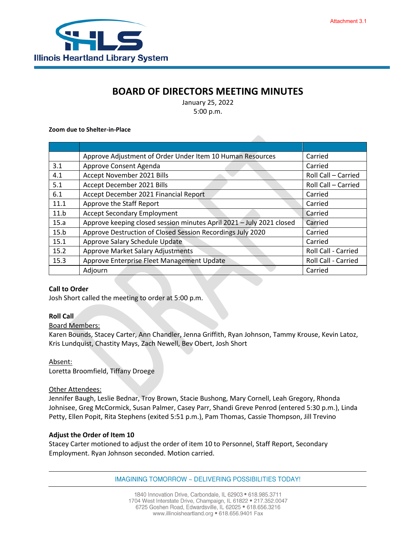

# **BOARD OF DIRECTORS MEETING MINUTES**

January 25, 2022 5:00 p.m.

#### **Zoom due to Shelter-in-Place**

|      | Approve Adjustment of Order Under Item 10 Human Resources            | Carried             |
|------|----------------------------------------------------------------------|---------------------|
| 3.1  | Approve Consent Agenda                                               | Carried             |
| 4.1  | Accept November 2021 Bills                                           | Roll Call - Carried |
| 5.1  | Accept December 2021 Bills                                           | Roll Call - Carried |
| 6.1  | Accept December 2021 Financial Report                                | Carried             |
| 11.1 | Approve the Staff Report                                             | Carried             |
| 11.b | <b>Accept Secondary Employment</b>                                   | Carried             |
| 15.a | Approve keeping closed session minutes April 2021 - July 2021 closed | Carried             |
| 15.b | Approve Destruction of Closed Session Recordings July 2020           | Carried             |
| 15.1 | Approve Salary Schedule Update                                       | Carried             |
| 15.2 | <b>Approve Market Salary Adjustments</b>                             | Roll Call - Carried |
| 15.3 | Approve Enterprise Fleet Management Update                           | Roll Call - Carried |
|      | Adjourn                                                              | Carried             |

#### **Call to Order**

Josh Short called the meeting to order at 5:00 p.m.

#### **Roll Call**

#### Board Members:

Karen Bounds, Stacey Carter, Ann Chandler, Jenna Griffith, Ryan Johnson, Tammy Krouse, Kevin Latoz, Kris Lundquist, Chastity Mays, Zach Newell, Bev Obert, Josh Short

#### Absent:

Loretta Broomfield, Tiffany Droege

#### Other Attendees:

Jennifer Baugh, Leslie Bednar, Troy Brown, Stacie Bushong, Mary Cornell, Leah Gregory, Rhonda Johnisee, Greg McCormick, Susan Palmer, Casey Parr, Shandi Greve Penrod (entered 5:30 p.m.), Linda Petty, Ellen Popit, Rita Stephens (exited 5:51 p.m.), Pam Thomas, Cassie Thompson, Jill Trevino

#### **Adjust the Order of Item 10**

Stacey Carter motioned to adjust the order of item 10 to Personnel, Staff Report, Secondary Employment. Ryan Johnson seconded. Motion carried.

IMAGINING TOMORROW ~ DELIVERING POSSIBILITIES TODAY!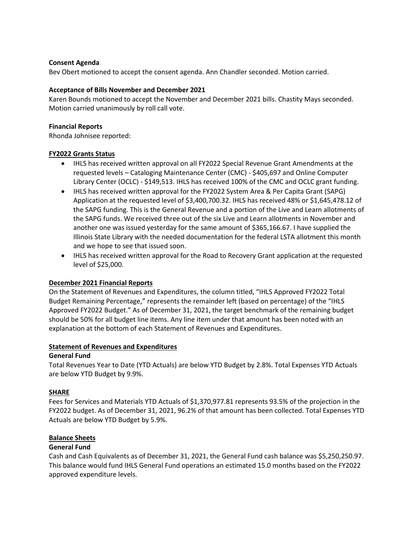## **Consent Agenda**

Bev Obert motioned to accept the consent agenda. Ann Chandler seconded. Motion carried.

## **Acceptance of Bills November and December 2021**

Karen Bounds motioned to accept the November and December 2021 bills. Chastity Mays seconded. Motion carried unanimously by roll call vote.

## **Financial Reports**

Rhonda Johnisee reported:

## **FY2022 Grants Status**

- IHLS has received written approval on all FY2022 Special Revenue Grant Amendments at the requested levels – Cataloging Maintenance Center (CMC) - \$405,697 and Online Computer Library Center (OCLC) - \$149,513. IHLS has received 100% of the CMC and OCLC grant funding.
- IHLS has received written approval for the FY2022 System Area & Per Capita Grant (SAPG) Application at the requested level of \$3,400,700.32. IHLS has received 48% or \$1,645,478.12 of the SAPG funding. This is the General Revenue and a portion of the Live and Learn allotments of the SAPG funds. We received three out of the six Live and Learn allotments in November and another one was issued yesterday for the same amount of \$365,166.67. I have supplied the Illinois State Library with the needed documentation for the federal LSTA allotment this month and we hope to see that issued soon.
- IHLS has received written approval for the Road to Recovery Grant application at the requested level of \$25,000.

# **December 2021 Financial Reports**

On the Statement of Revenues and Expenditures, the column titled, "IHLS Approved FY2022 Total Budget Remaining Percentage," represents the remainder left (based on percentage) of the "IHLS Approved FY2022 Budget." As of December 31, 2021, the target benchmark of the remaining budget should be 50% for all budget line items. Any line item under that amount has been noted with an explanation at the bottom of each Statement of Revenues and Expenditures.

#### **Statement of Revenues and Expenditures**

# **General Fund**

Total Revenues Year to Date (YTD Actuals) are below YTD Budget by 2.8%. Total Expenses YTD Actuals are below YTD Budget by 9.9%.

# **SHARE**

Fees for Services and Materials YTD Actuals of \$1,370,977.81 represents 93.5% of the projection in the FY2022 budget. As of December 31, 2021, 96.2% of that amount has been collected. Total Expenses YTD Actuals are below YTD Budget by 5.9%.

# **Balance Sheets**

# **General Fund**

Cash and Cash Equivalents as of December 31, 2021, the General Fund cash balance was \$5,250,250.97. This balance would fund IHLS General Fund operations an estimated 15.0 months based on the FY2022 approved expenditure levels.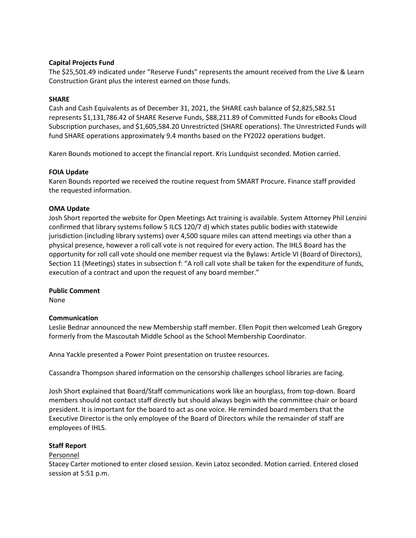# **Capital Projects Fund**

The \$25,501.49 indicated under "Reserve Funds" represents the amount received from the Live & Learn Construction Grant plus the interest earned on those funds.

## **SHARE**

Cash and Cash Equivalents as of December 31, 2021, the SHARE cash balance of \$2,825,582.51 represents \$1,131,786.42 of SHARE Reserve Funds, \$88,211.89 of Committed Funds for eBooks Cloud Subscription purchases, and \$1,605,584.20 Unrestricted (SHARE operations). The Unrestricted Funds will fund SHARE operations approximately 9.4 months based on the FY2022 operations budget.

Karen Bounds motioned to accept the financial report. Kris Lundquist seconded. Motion carried.

## **FOIA Update**

Karen Bounds reported we received the routine request from SMART Procure. Finance staff provided the requested information.

## **OMA Update**

Josh Short reported the website for Open Meetings Act training is available. System Attorney Phil Lenzini confirmed that library systems follow 5 ILCS 120/7 d) which states public bodies with statewide jurisdiction (including library systems) over 4,500 square miles can attend meetings via other than a physical presence, however a roll call vote is not required for every action. The IHLS Board has the opportunity for roll call vote should one member request via the Bylaws: Article VI (Board of Directors), Section 11 (Meetings) states in subsection f: "A roll call vote shall be taken for the expenditure of funds, execution of a contract and upon the request of any board member."

# **Public Comment**

None

#### **Communication**

Leslie Bednar announced the new Membership staff member. Ellen Popit then welcomed Leah Gregory formerly from the Mascoutah Middle School as the School Membership Coordinator.

Anna Yackle presented a Power Point presentation on trustee resources.

Cassandra Thompson shared information on the censorship challenges school libraries are facing.

Josh Short explained that Board/Staff communications work like an hourglass, from top-down. Board members should not contact staff directly but should always begin with the committee chair or board president. It is important for the board to act as one voice. He reminded board members that the Executive Director is the only employee of the Board of Directors while the remainder of staff are employees of IHLS.

#### **Staff Report**

#### Personnel

Stacey Carter motioned to enter closed session. Kevin Latoz seconded. Motion carried. Entered closed session at 5:51 p.m.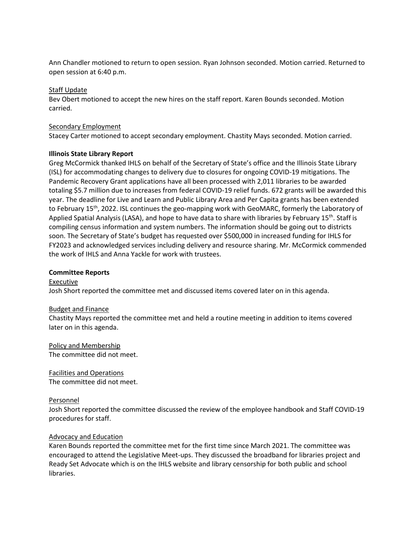Ann Chandler motioned to return to open session. Ryan Johnson seconded. Motion carried. Returned to open session at 6:40 p.m.

## Staff Update

Bev Obert motioned to accept the new hires on the staff report. Karen Bounds seconded. Motion carried.

## Secondary Employment

Stacey Carter motioned to accept secondary employment. Chastity Mays seconded. Motion carried.

## **Illinois State Library Report**

Greg McCormick thanked IHLS on behalf of the Secretary of State's office and the Illinois State Library (ISL) for accommodating changes to delivery due to closures for ongoing COVID-19 mitigations. The Pandemic Recovery Grant applications have all been processed with 2,011 libraries to be awarded totaling \$5.7 million due to increases from federal COVID-19 relief funds. 672 grants will be awarded this year. The deadline for Live and Learn and Public Library Area and Per Capita grants has been extended to February 15<sup>th</sup>, 2022. ISL continues the geo-mapping work with GeoMARC, formerly the Laboratory of Applied Spatial Analysis (LASA), and hope to have data to share with libraries by February 15<sup>th</sup>. Staff is compiling census information and system numbers. The information should be going out to districts soon. The Secretary of State's budget has requested over \$500,000 in increased funding for IHLS for FY2023 and acknowledged services including delivery and resource sharing. Mr. McCormick commended the work of IHLS and Anna Yackle for work with trustees.

## **Committee Reports**

Executive Josh Short reported the committee met and discussed items covered later on in this agenda.

#### Budget and Finance

Chastity Mays reported the committee met and held a routine meeting in addition to items covered later on in this agenda.

Policy and Membership The committee did not meet.

Facilities and Operations The committee did not meet.

#### Personnel

Josh Short reported the committee discussed the review of the employee handbook and Staff COVID-19 procedures for staff.

# Advocacy and Education

Karen Bounds reported the committee met for the first time since March 2021. The committee was encouraged to attend the Legislative Meet-ups. They discussed the broadband for libraries project and Ready Set Advocate which is on the IHLS website and library censorship for both public and school libraries.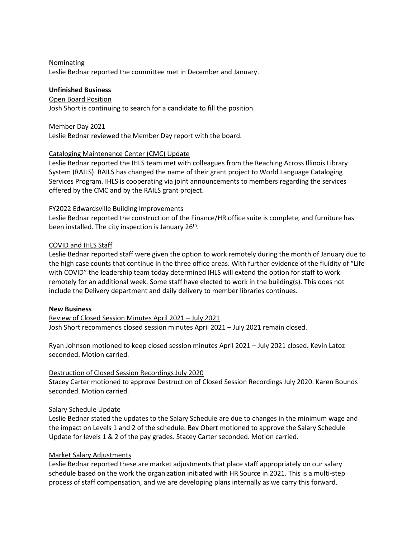## **Nominating**

Leslie Bednar reported the committee met in December and January.

# **Unfinished Business**

#### Open Board Position

Josh Short is continuing to search for a candidate to fill the position.

## Member Day 2021

Leslie Bednar reviewed the Member Day report with the board.

# Cataloging Maintenance Center (CMC) Update

Leslie Bednar reported the IHLS team met with colleagues from the Reaching Across Illinois Library System (RAILS). RAILS has changed the name of their grant project to World Language Cataloging Services Program. IHLS is cooperating via joint announcements to members regarding the services offered by the CMC and by the RAILS grant project.

## FY2022 Edwardsville Building Improvements

Leslie Bednar reported the construction of the Finance/HR office suite is complete, and furniture has been installed. The city inspection is January 26<sup>th</sup>.

# COVID and IHLS Staff

Leslie Bednar reported staff were given the option to work remotely during the month of January due to the high case counts that continue in the three office areas. With further evidence of the fluidity of "Life with COVID" the leadership team today determined IHLS will extend the option for staff to work remotely for an additional week. Some staff have elected to work in the building(s). This does not include the Delivery department and daily delivery to member libraries continues.

#### **New Business**

Review of Closed Session Minutes April 2021 – July 2021 Josh Short recommends closed session minutes April 2021 – July 2021 remain closed.

Ryan Johnson motioned to keep closed session minutes April 2021 – July 2021 closed. Kevin Latoz seconded. Motion carried.

# Destruction of Closed Session Recordings July 2020

Stacey Carter motioned to approve Destruction of Closed Session Recordings July 2020. Karen Bounds seconded. Motion carried.

# Salary Schedule Update

Leslie Bednar stated the updates to the Salary Schedule are due to changes in the minimum wage and the impact on Levels 1 and 2 of the schedule. Bev Obert motioned to approve the Salary Schedule Update for levels 1 & 2 of the pay grades. Stacey Carter seconded. Motion carried.

# Market Salary Adjustments

Leslie Bednar reported these are market adjustments that place staff appropriately on our salary schedule based on the work the organization initiated with HR Source in 2021. This is a multi-step process of staff compensation, and we are developing plans internally as we carry this forward.